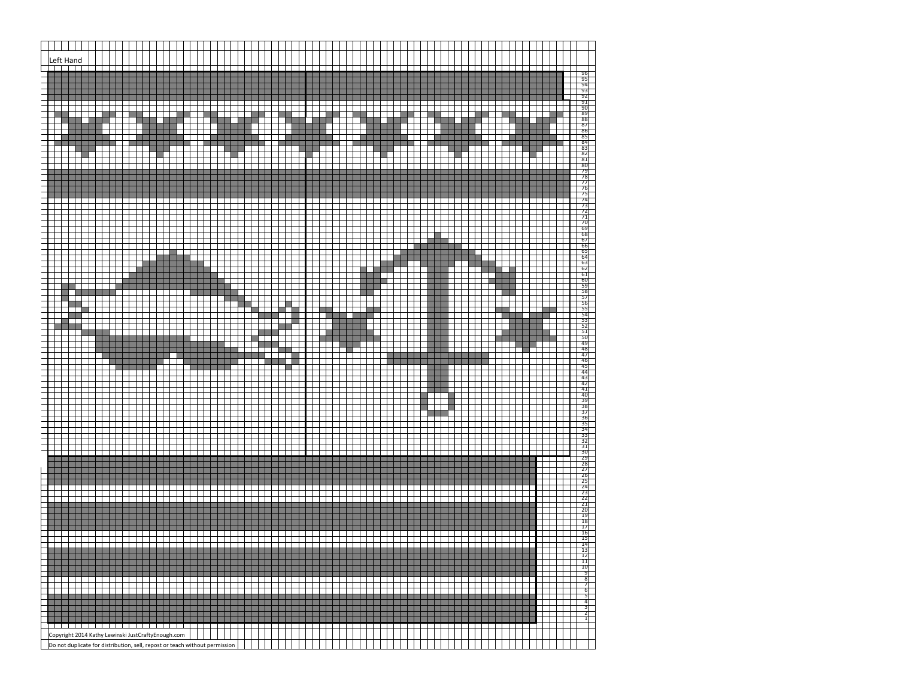